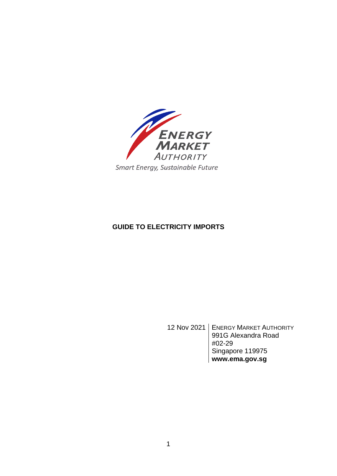

# **GUIDE TO ELECTRICITY IMPORTS**

12 Nov 2021 | ENERGY MARKET AUTHORITY 991G Alexandra Road #02-29 Singapore 119975 **www.ema.gov.sg**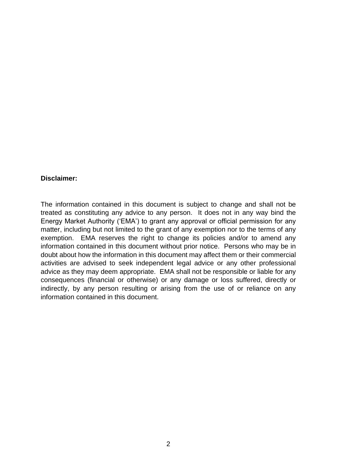#### **Disclaimer:**

The information contained in this document is subject to change and shall not be treated as constituting any advice to any person. It does not in any way bind the Energy Market Authority ('EMA') to grant any approval or official permission for any matter, including but not limited to the grant of any exemption nor to the terms of any exemption. EMA reserves the right to change its policies and/or to amend any information contained in this document without prior notice. Persons who may be in doubt about how the information in this document may affect them or their commercial activities are advised to seek independent legal advice or any other professional advice as they may deem appropriate. EMA shall not be responsible or liable for any consequences (financial or otherwise) or any damage or loss suffered, directly or indirectly, by any person resulting or arising from the use of or reliance on any information contained in this document.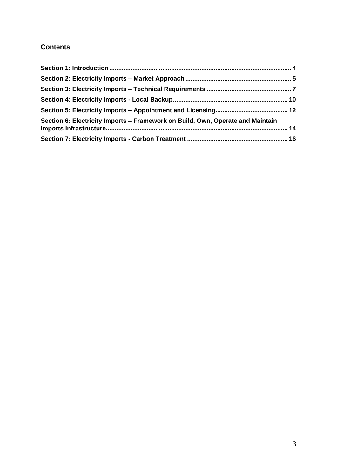# **Contents**

| Section 6: Electricity Imports – Framework on Build, Own, Operate and Maintain |  |
|--------------------------------------------------------------------------------|--|
|                                                                                |  |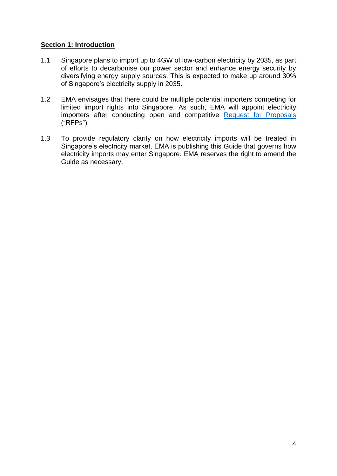### <span id="page-3-0"></span>**Section 1: Introduction**

- 1.1 Singapore plans to import up to 4GW of low-carbon electricity by 2035, as part of efforts to decarbonise our power sector and enhance energy security by diversifying energy supply sources. This is expected to make up around 30% of Singapore's electricity supply in 2035.
- 1.2 EMA envisages that there could be multiple potential importers competing for limited import rights into Singapore. As such, EMA will appoint electricity importers after conducting open and competitive [Request for Proposals](https://go.gov.sg/imports-rfp1) ("RFPs").
- 1.3 To provide regulatory clarity on how electricity imports will be treated in Singapore's electricity market, EMA is publishing this Guide that governs how electricity imports may enter Singapore. EMA reserves the right to amend the Guide as necessary.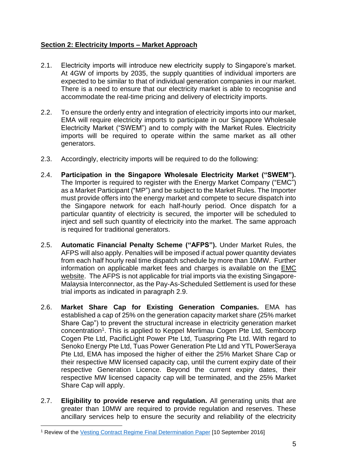# <span id="page-4-0"></span>**Section 2: Electricity Imports – Market Approach**

- 2.1. Electricity imports will introduce new electricity supply to Singapore's market. At 4GW of imports by 2035, the supply quantities of individual importers are expected to be similar to that of individual generation companies in our market. There is a need to ensure that our electricity market is able to recognise and accommodate the real-time pricing and delivery of electricity imports.
- 2.2. To ensure the orderly entry and integration of electricity imports into our market, EMA will require electricity imports to participate in our Singapore Wholesale Electricity Market ("SWEM") and to comply with the Market Rules. Electricity imports will be required to operate within the same market as all other generators.
- 2.3. Accordingly, electricity imports will be required to do the following:
- 2.4. **Participation in the Singapore Wholesale Electricity Market ("SWEM").** The Importer is required to register with the Energy Market Company ("EMC") as a Market Participant ("MP") and be subject to the Market Rules. The Importer must provide offers into the energy market and compete to secure dispatch into the Singapore network for each half-hourly period. Once dispatch for a particular quantity of electricity is secured, the importer will be scheduled to inject and sell such quantity of electricity into the market. The same approach is required for traditional generators.
- 2.5. **Automatic Financial Penalty Scheme ("AFPS").** Under Market Rules, the AFPS will also apply. Penalties will be imposed if actual power quantity deviates from each half hourly real time dispatch schedule by more than 10MW. Further information on applicable market fees and charges is available on the [EMC](https://www.emcsg.com/AboutTheMarket/Registration)  [website.](https://www.emcsg.com/AboutTheMarket/Registration) The AFPS is not applicable for trial imports via the existing Singapore-Malaysia Interconnector, as the Pay-As-Scheduled Settlement is used for these trial imports as indicated in paragraph 2.9.
- 2.6. **Market Share Cap for Existing Generation Companies.** EMA has established a cap of 25% on the generation capacity market share (25% market Share Cap") to prevent the structural increase in electricity generation market concentration<sup>1</sup>. This is applied to Keppel Merlimau Cogen Pte Ltd, Sembcorp Cogen Pte Ltd, PacificLight Power Pte Ltd, Tuaspring Pte Ltd. With regard to Senoko Energy Pte Ltd, Tuas Power Generation Pte Ltd and YTL PowerSeraya Pte Ltd, EMA has imposed the higher of either the 25% Market Share Cap or their respective MW licensed capacity cap, until the current expiry date of their respective Generation Licence. Beyond the current expiry dates, their respective MW licensed capacity cap will be terminated, and the 25% Market Share Cap will apply.
- 2.7. **Eligibility to provide reserve and regulation.** All generating units that are greater than 10MW are required to provide regulation and reserves. These ancillary services help to ensure the security and reliability of the electricity

<sup>1</sup> Review of the [Vesting Contract Regime Final Determination Paper](https://www.ema.gov.sg/cmsmedia/Consultations/Electricity/Final%2520Determination%2520Paper%2520-%2520Review%2520of%2520Vesting%2520Contract%2520Regime%25202016%2520final.pdf) [10 September 2016]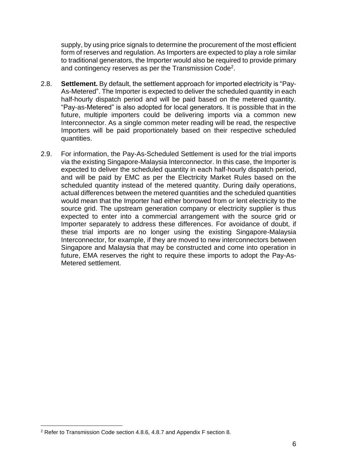supply, by using price signals to determine the procurement of the most efficient form of reserves and regulation. As Importers are expected to play a role similar to traditional generators, the Importer would also be required to provide primary and contingency reserves as per the Transmission Code<sup>2</sup>.

- 2.8. **Settlement.** By default, the settlement approach for imported electricity is "Pay-As-Metered". The Importer is expected to deliver the scheduled quantity in each half-hourly dispatch period and will be paid based on the metered quantity. "Pay-as-Metered" is also adopted for local generators. It is possible that in the future, multiple importers could be delivering imports via a common new Interconnector. As a single common meter reading will be read, the respective Importers will be paid proportionately based on their respective scheduled quantities.
- 2.9. For information, the Pay-As-Scheduled Settlement is used for the trial imports via the existing Singapore-Malaysia Interconnector. In this case, the Importer is expected to deliver the scheduled quantity in each half-hourly dispatch period, and will be paid by EMC as per the Electricity Market Rules based on the scheduled quantity instead of the metered quantity. During daily operations, actual differences between the metered quantities and the scheduled quantities would mean that the Importer had either borrowed from or lent electricity to the source grid. The upstream generation company or electricity supplier is thus expected to enter into a commercial arrangement with the source grid or Importer separately to address these differences. For avoidance of doubt, if these trial imports are no longer using the existing Singapore-Malaysia Interconnector, for example, if they are moved to new interconnectors between Singapore and Malaysia that may be constructed and come into operation in future, EMA reserves the right to require these imports to adopt the Pay-As-Metered settlement.

<sup>2</sup> Refer to Transmission Code section 4.8.6, 4.8.7 and Appendix F section 8.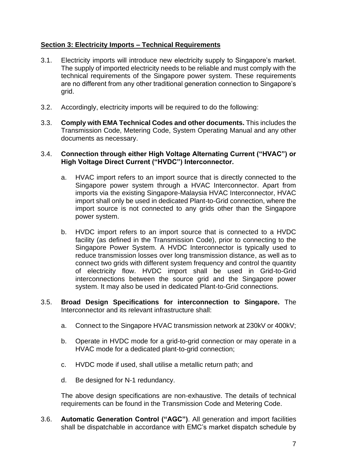# <span id="page-6-0"></span>**Section 3: Electricity Imports – Technical Requirements**

- 3.1. Electricity imports will introduce new electricity supply to Singapore's market. The supply of imported electricity needs to be reliable and must comply with the technical requirements of the Singapore power system. These requirements are no different from any other traditional generation connection to Singapore's grid.
- 3.2. Accordingly, electricity imports will be required to do the following:
- 3.3. **Comply with EMA Technical Codes and other documents.** This includes the Transmission Code, Metering Code, System Operating Manual and any other documents as necessary.

#### 3.4. **Connection through either High Voltage Alternating Current ("HVAC") or High Voltage Direct Current ("HVDC") Interconnector.**

- a. HVAC import refers to an import source that is directly connected to the Singapore power system through a HVAC Interconnector. Apart from imports via the existing Singapore-Malaysia HVAC Interconnector, HVAC import shall only be used in dedicated Plant-to-Grid connection, where the import source is not connected to any grids other than the Singapore power system.
- b. HVDC import refers to an import source that is connected to a HVDC facility (as defined in the Transmission Code), prior to connecting to the Singapore Power System. A HVDC Interconnector is typically used to reduce transmission losses over long transmission distance, as well as to connect two grids with different system frequency and control the quantity of electricity flow. HVDC import shall be used in Grid-to-Grid interconnections between the source grid and the Singapore power system. It may also be used in dedicated Plant-to-Grid connections.
- 3.5. **Broad Design Specifications for interconnection to Singapore.** The Interconnector and its relevant infrastructure shall:
	- a. Connect to the Singapore HVAC transmission network at 230kV or 400kV;
	- b. Operate in HVDC mode for a grid-to-grid connection or may operate in a HVAC mode for a dedicated plant-to-grid connection;
	- c. HVDC mode if used, shall utilise a metallic return path; and
	- d. Be designed for N-1 redundancy.

The above design specifications are non-exhaustive. The details of technical requirements can be found in the Transmission Code and Metering Code.

3.6. **Automatic Generation Control ("AGC")**. All generation and import facilities shall be dispatchable in accordance with EMC's market dispatch schedule by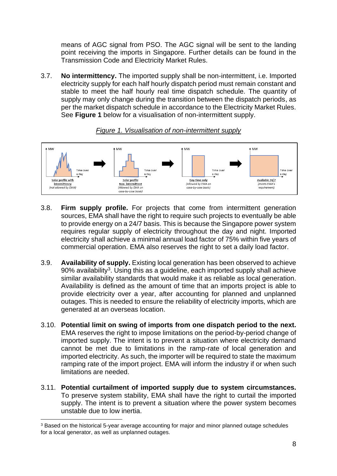means of AGC signal from PSO. The AGC signal will be sent to the landing point receiving the imports in Singapore. Further details can be found in the Transmission Code and Electricity Market Rules.

3.7. **No intermittency.** The imported supply shall be non-intermittent, i.e. Imported electricity supply for each half hourly dispatch period must remain constant and stable to meet the half hourly real time dispatch schedule. The quantity of supply may only change during the transition between the dispatch periods, as per the market dispatch schedule in accordance to the Electricity Market Rules. See **Figure 1** below for a visualisation of non-intermittent supply.



### *Figure 1. Visualisation of non-intermittent supply*

- 3.8. **Firm supply profile.** For projects that come from intermittent generation sources, EMA shall have the right to require such projects to eventually be able to provide energy on a 24/7 basis. This is because the Singapore power system requires regular supply of electricity throughout the day and night. Imported electricity shall achieve a minimal annual load factor of 75% within five years of commercial operation. EMA also reserves the right to set a daily load factor.
- 3.9. **Availability of supply.** Existing local generation has been observed to achieve 90% availability<sup>3</sup>. Using this as a guideline, each imported supply shall achieve similar availability standards that would make it as reliable as local generation. Availability is defined as the amount of time that an imports project is able to provide electricity over a year, after accounting for planned and unplanned outages. This is needed to ensure the reliability of electricity imports, which are generated at an overseas location.
- 3.10. **Potential limit on swing of imports from one dispatch period to the next.** EMA reserves the right to impose limitations on the period-by-period change of imported supply. The intent is to prevent a situation where electricity demand cannot be met due to limitations in the ramp-rate of local generation and imported electricity. As such, the importer will be required to state the maximum ramping rate of the import project. EMA will inform the industry if or when such limitations are needed.
- 3.11. **Potential curtailment of imported supply due to system circumstances.** To preserve system stability, EMA shall have the right to curtail the imported supply. The intent is to prevent a situation where the power system becomes unstable due to low inertia.

<sup>3</sup> Based on the historical 5-year average accounting for major and minor planned outage schedules for a local generator, as well as unplanned outages.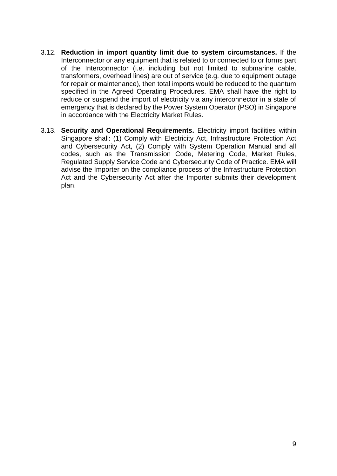- 3.12. **Reduction in import quantity limit due to system circumstances.** If the Interconnector or any equipment that is related to or connected to or forms part of the Interconnector (i.e. including but not limited to submarine cable, transformers, overhead lines) are out of service (e.g. due to equipment outage for repair or maintenance), then total imports would be reduced to the quantum specified in the Agreed Operating Procedures. EMA shall have the right to reduce or suspend the import of electricity via any interconnector in a state of emergency that is declared by the Power System Operator (PSO) in Singapore in accordance with the Electricity Market Rules.
- 3.13. **Security and Operational Requirements.** Electricity import facilities within Singapore shall: (1) Comply with Electricity Act, Infrastructure Protection Act and Cybersecurity Act, (2) Comply with System Operation Manual and all codes, such as the Transmission Code, Metering Code, Market Rules, Regulated Supply Service Code and Cybersecurity Code of Practice. EMA will advise the Importer on the compliance process of the Infrastructure Protection Act and the Cybersecurity Act after the Importer submits their development plan.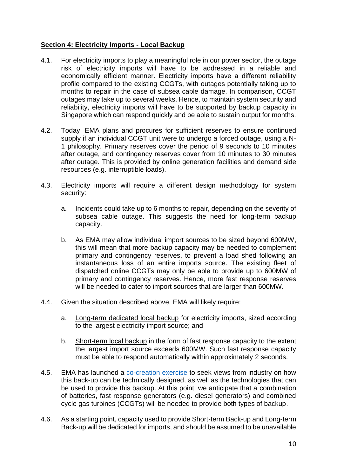### <span id="page-9-0"></span>**Section 4: Electricity Imports - Local Backup**

- 4.1. For electricity imports to play a meaningful role in our power sector, the outage risk of electricity imports will have to be addressed in a reliable and economically efficient manner. Electricity imports have a different reliability profile compared to the existing CCGTs, with outages potentially taking up to months to repair in the case of subsea cable damage. In comparison, CCGT outages may take up to several weeks. Hence, to maintain system security and reliability, electricity imports will have to be supported by backup capacity in Singapore which can respond quickly and be able to sustain output for months.
- 4.2. Today, EMA plans and procures for sufficient reserves to ensure continued supply if an individual CCGT unit were to undergo a forced outage, using a N-1 philosophy. Primary reserves cover the period of 9 seconds to 10 minutes after outage, and contingency reserves cover from 10 minutes to 30 minutes after outage. This is provided by online generation facilities and demand side resources (e.g. interruptible loads).
- 4.3. Electricity imports will require a different design methodology for system security:
	- a. Incidents could take up to 6 months to repair, depending on the severity of subsea cable outage. This suggests the need for long-term backup capacity.
	- b. As EMA may allow individual import sources to be sized beyond 600MW, this will mean that more backup capacity may be needed to complement primary and contingency reserves, to prevent a load shed following an instantaneous loss of an entire imports source. The existing fleet of dispatched online CCGTs may only be able to provide up to 600MW of primary and contingency reserves. Hence, more fast response reserves will be needed to cater to import sources that are larger than 600MW.
- 4.4. Given the situation described above, EMA will likely require:
	- a. Long-term dedicated local backup for electricity imports, sized according to the largest electricity import source; and
	- b. Short-term local backup in the form of fast response capacity to the extent the largest import source exceeds 600MW. Such fast response capacity must be able to respond automatically within approximately 2 seconds.
- 4.5. EMA has launched a [co-creation exercise](https://www.ema.gov.sg/cocreating.aspx) to seek views from industry on how this back-up can be technically designed, as well as the technologies that can be used to provide this backup. At this point, we anticipate that a combination of batteries, fast response generators (e.g. diesel generators) and combined cycle gas turbines (CCGTs) will be needed to provide both types of backup.
- 4.6. As a starting point, capacity used to provide Short-term Back-up and Long-term Back-up will be dedicated for imports, and should be assumed to be unavailable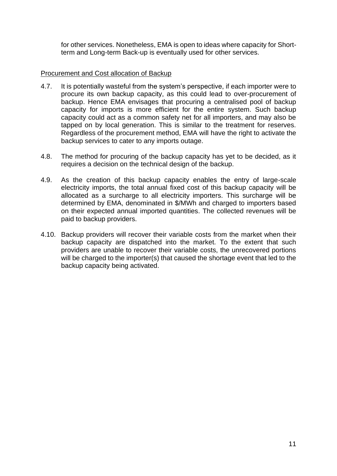for other services. Nonetheless, EMA is open to ideas where capacity for Shortterm and Long-term Back-up is eventually used for other services.

#### Procurement and Cost allocation of Backup

- 4.7. It is potentially wasteful from the system's perspective, if each importer were to procure its own backup capacity, as this could lead to over-procurement of backup. Hence EMA envisages that procuring a centralised pool of backup capacity for imports is more efficient for the entire system. Such backup capacity could act as a common safety net for all importers, and may also be tapped on by local generation. This is similar to the treatment for reserves. Regardless of the procurement method, EMA will have the right to activate the backup services to cater to any imports outage.
- 4.8. The method for procuring of the backup capacity has yet to be decided, as it requires a decision on the technical design of the backup.
- 4.9. As the creation of this backup capacity enables the entry of large-scale electricity imports, the total annual fixed cost of this backup capacity will be allocated as a surcharge to all electricity importers. This surcharge will be determined by EMA, denominated in \$/MWh and charged to importers based on their expected annual imported quantities. The collected revenues will be paid to backup providers.
- 4.10. Backup providers will recover their variable costs from the market when their backup capacity are dispatched into the market. To the extent that such providers are unable to recover their variable costs, the unrecovered portions will be charged to the importer(s) that caused the shortage event that led to the backup capacity being activated.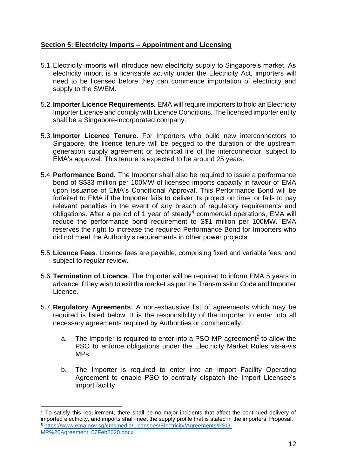# <span id="page-11-0"></span>**Section 5: Electricity Imports – Appointment and Licensing**

- 5.1.Electricity imports will introduce new electricity supply to Singapore's market. As electricity import is a licensable activity under the Electricity Act, importers will need to be licensed before they can commence importation of electricity and supply to the SWEM.
- 5.2.**Importer Licence Requirements.** EMA will require importers to hold an Electricity Importer Licence and comply with Licence Conditions. The licensed importer entity shall be a Singapore-incorporated company.
- 5.3.**Importer Licence Tenure.** For Importers who build new interconnectors to Singapore, the licence tenure will be pegged to the duration of the upstream generation supply agreement or technical life of the interconnector, subject to EMA's approval. This tenure is expected to be around 25 years.
- 5.4.**Performance Bond.** The Importer shall also be required to issue a performance bond of S\$33 million per 100MW of licensed imports capacity in favour of EMA upon issuance of EMA's Conditional Approval. This Performance Bond will be forfeited to EMA if the Importer fails to deliver its project on time, or fails to pay relevant penalties in the event of any breach of regulatory requirements and obligations. After a period of 1 year of steady<sup>4</sup> commercial operations, EMA will reduce the performance bond requirement to S\$1 million per 100MW. EMA reserves the right to increase the required Performance Bond for Importers who did not meet the Authority's requirements in other power projects.
- 5.5.**Licence Fees**. Licence fees are payable, comprising fixed and variable fees, and subject to regular review.
- 5.6.**Termination of Licence**. The Importer will be required to inform EMA 5 years in advance if they wish to exit the market as per the Transmission Code and Importer Licence.
- 5.7.**Regulatory Agreements**. A non-exhaustive list of agreements which may be required is listed below. It is the responsibility of the Importer to enter into all necessary agreements required by Authorities or commercially.
	- a. The Importer is required to enter into a PSO-MP agreement<sup>5</sup> to allow the PSO to enforce obligations under the Electricity Market Rules vis-à-vis MPs.
	- b. The Importer is required to enter into an Import Facility Operating Agreement to enable PSO to centrally dispatch the Import Licensee's import facility.

<sup>4</sup> To satisfy this requirement, there shall be no major incidents that affect the continued delivery of imported electricity, and imports shall meet the supply profile that is stated in the importers' Proposal. <sup>5</sup> [https://www.ema.gov.sg/cmsmedia/Licensees/Electricity/Agreements/PSO-](https://www.ema.gov.sg/cmsmedia/Licensees/Electricity/Agreements/PSO-MP%20Agreement_06Feb2020.docx)[MP%20Agreement\\_06Feb2020.docx](https://www.ema.gov.sg/cmsmedia/Licensees/Electricity/Agreements/PSO-MP%20Agreement_06Feb2020.docx)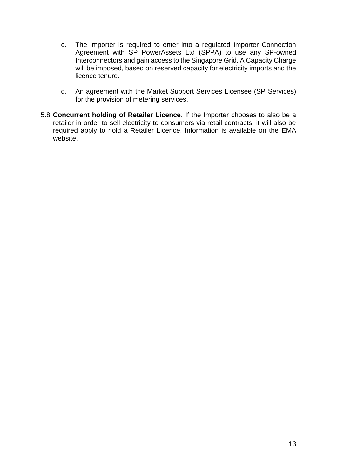- c. The Importer is required to enter into a regulated Importer Connection Agreement with SP PowerAssets Ltd (SPPA) to use any SP-owned Interconnectors and gain access to the Singapore Grid. A Capacity Charge will be imposed, based on reserved capacity for electricity imports and the licence tenure.
- d. An agreement with the Market Support Services Licensee (SP Services) for the provision of metering services.
- 5.8.**Concurrent holding of Retailer Licence**. If the Importer chooses to also be a retailer in order to sell electricity to consumers via retail contracts, it will also be required apply to hold a Retailer Licence. Information is available on the **EMA** [website.](https://www.ema.gov.sg/Licensees_Electricity_Retailer.aspx)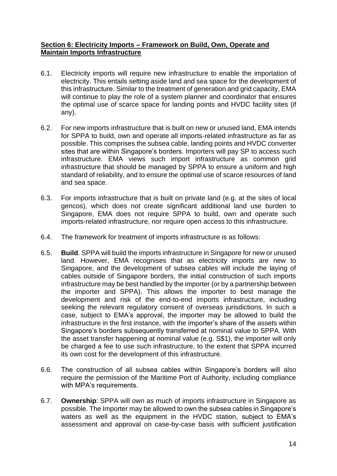### <span id="page-13-0"></span>**Section 6: Electricity Imports – Framework on Build, Own, Operate and Maintain Imports Infrastructure**

- 6.1. Electricity imports will require new infrastructure to enable the importation of electricity. This entails setting aside land and sea space for the development of this infrastructure. Similar to the treatment of generation and grid capacity, EMA will continue to play the role of a system planner and coordinator that ensures the optimal use of scarce space for landing points and HVDC facility sites (if any).
- 6.2. For new imports infrastructure that is built on new or unused land, EMA intends for SPPA to build, own and operate all imports-related infrastructure as far as possible. This comprises the subsea cable, landing points and HVDC converter sites that are within Singapore's borders. Importers will pay SP to access such infrastructure. EMA views such import infrastructure as common grid infrastructure that should be managed by SPPA to ensure a uniform and high standard of reliability, and to ensure the optimal use of scarce resources of land and sea space.
- 6.3. For imports infrastructure that is built on private land (e.g. at the sites of local gencos), which does not create significant additional land use burden to Singapore, EMA does not require SPPA to build, own and operate such imports-related infrastructure, nor require open access to this infrastructure.
- 6.4. The framework for treatment of imports infrastructure is as follows:
- 6.5. **Build**. SPPA will build the imports infrastructure in Singapore for new or unused land. However, EMA recognises that as electricity imports are new to Singapore, and the development of subsea cables will include the laying of cables outside of Singapore borders, the initial construction of such imports infrastructure may be best handled by the importer (or by a partnership between the importer and SPPA). This allows the importer to best manage the development and risk of the end-to-end imports infrastructure, including seeking the relevant regulatory consent of overseas jurisdictions. In such a case, subject to EMA's approval, the importer may be allowed to build the infrastructure in the first instance, with the importer's share of the assets within Singapore's borders subsequently transferred at nominal value to SPPA. With the asset transfer happening at nominal value (e.g. S\$1), the importer will only be charged a fee to use such infrastructure, to the extent that SPPA incurred its own cost for the development of this infrastructure.
- 6.6. The construction of all subsea cables within Singapore's borders will also require the permission of the Maritime Port of Authority, including compliance with MPA's requirements.
- 6.7. **Ownership**: SPPA will own as much of imports infrastructure in Singapore as possible. The Importer may be allowed to own the subsea cables in Singapore's waters as well as the equipment in the HVDC station, subject to EMA's assessment and approval on case-by-case basis with sufficient justification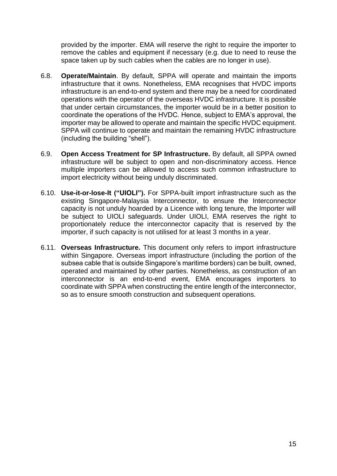provided by the importer. EMA will reserve the right to require the importer to remove the cables and equipment if necessary (e.g. due to need to reuse the space taken up by such cables when the cables are no longer in use).

- 6.8. **Operate/Maintain**. By default, SPPA will operate and maintain the imports infrastructure that it owns. Nonetheless, EMA recognises that HVDC imports infrastructure is an end-to-end system and there may be a need for coordinated operations with the operator of the overseas HVDC infrastructure. It is possible that under certain circumstances, the importer would be in a better position to coordinate the operations of the HVDC. Hence, subject to EMA's approval, the importer may be allowed to operate and maintain the specific HVDC equipment. SPPA will continue to operate and maintain the remaining HVDC infrastructure (including the building "shell").
- 6.9. **Open Access Treatment for SP Infrastructure.** By default, all SPPA owned infrastructure will be subject to open and non-discriminatory access. Hence multiple importers can be allowed to access such common infrastructure to import electricity without being unduly discriminated.
- 6.10. **Use-it-or-lose-It ("UIOLI").** For SPPA-built import infrastructure such as the existing Singapore-Malaysia Interconnector, to ensure the Interconnector capacity is not unduly hoarded by a Licence with long tenure, the Importer will be subject to UIOLI safeguards. Under UIOLI, EMA reserves the right to proportionately reduce the interconnector capacity that is reserved by the importer, if such capacity is not utilised for at least 3 months in a year.
- 6.11. **Overseas Infrastructure.** This document only refers to import infrastructure within Singapore. Overseas import infrastructure (including the portion of the subsea cable that is outside Singapore's maritime borders) can be built, owned, operated and maintained by other parties. Nonetheless, as construction of an interconnector is an end-to-end event, EMA encourages importers to coordinate with SPPA when constructing the entire length of the interconnector, so as to ensure smooth construction and subsequent operations.